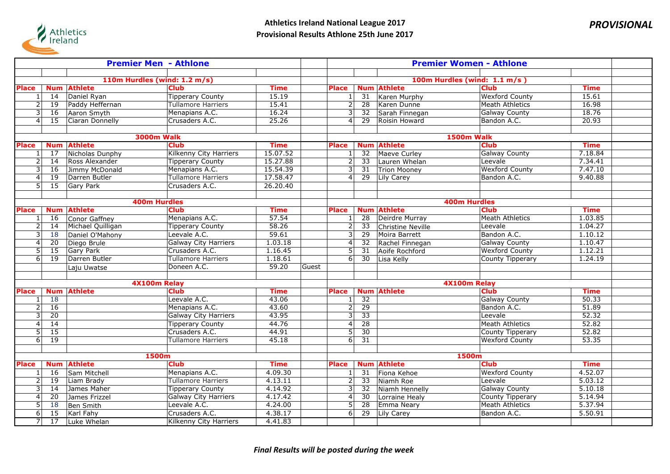

| <b>Premier Men - Athlone</b> |                       |                                   |                                         |                      |       | <b>Premier Women - Athlone</b>                                   |                 |                          |                        |             |  |
|------------------------------|-----------------------|-----------------------------------|-----------------------------------------|----------------------|-------|------------------------------------------------------------------|-----------------|--------------------------|------------------------|-------------|--|
|                              |                       |                                   |                                         |                      |       |                                                                  |                 |                          |                        |             |  |
|                              |                       | 110m Hurdles (wind: 1.2 m/s)      |                                         |                      |       | 100m Hurdles (wind: 1.1 m/s)                                     |                 |                          |                        |             |  |
| <b>Place</b>                 | <b>Num</b>            | <b>Athlete</b>                    | <b>Club</b>                             | <b>Time</b>          |       | <b>Place</b>                                                     |                 | <b>Num Athlete</b>       | <b>Club</b>            | <b>Time</b> |  |
| $\mathbf{1}$                 | 14                    | Daniel Ryan                       | <b>Tipperary County</b>                 | 15.19                |       | $1\vert$                                                         | 31              | Karen Murphy             | <b>Wexford County</b>  | 15.61       |  |
| $\overline{2}$               | $\overline{19}$       | Paddy Heffernan                   | <b>Tullamore Harriers</b>               | 15.41                |       | $\overline{2}$                                                   | $\overline{28}$ | Karen Dunne              | <b>Meath Athletics</b> | 16.98       |  |
| 3                            | 16                    | Aaron Smyth                       | Menapians A.C.                          | 16.24                |       | $\overline{3}$                                                   | 32              | Sarah Finnegan           | <b>Galway County</b>   | 18.76       |  |
| 4                            | 15                    | Ciaran Donnelly                   | Crusaders A.C.                          | 25.26                |       | 4                                                                | 29              | Roisin Howard            | Bandon A.C.            | 20.93       |  |
|                              |                       |                                   |                                         |                      |       |                                                                  |                 |                          |                        |             |  |
|                              |                       | <b>3000m Walk</b>                 |                                         |                      |       |                                                                  |                 |                          | 1500m Walk             |             |  |
| <b>Place</b>                 | <b>Num</b>            | <b>Athlete</b>                    | <b>Club</b>                             | <b>Time</b>          |       | <b>Place</b>                                                     |                 | <b>Num Athlete</b>       | <b>Club</b>            | <b>Time</b> |  |
| 1                            | 17                    | Nicholas Dunphy                   | <b>Kilkenny City Harriers</b>           | 15.07.52             |       | 1                                                                | 32              | Maeve Curley             | <b>Galway County</b>   | 7.18.84     |  |
| $\overline{c}$               | 14                    | Ross Alexander                    | <b>Tipperary County</b>                 | 15.27.88             |       | $\overline{2}$                                                   | 33              | Lauren Whelan            | Leevale                | 7.34.41     |  |
| 3                            | 16                    | Jimmy McDonald                    | Menapians A.C.                          | 15.54.39             |       | $\overline{\mathbf{3}}$                                          | 31              | <b>Trion Mooney</b>      | <b>Wexford County</b>  | 7.47.10     |  |
| $\overline{4}$               | $\overline{19}$       | Darren Butler                     | <b>Tullamore Harriers</b>               | 17.58.47             |       | $\overline{4}$                                                   | $\overline{29}$ | Lily Carey               | Bandon A.C.            | 9.40.88     |  |
| 51                           | $\overline{15}$       | Gary Park                         | Crusaders A.C.                          | 26.20.40             |       |                                                                  |                 |                          |                        |             |  |
|                              |                       |                                   |                                         |                      |       |                                                                  |                 |                          |                        |             |  |
|                              |                       | <b>400m Hurdles</b>               |                                         |                      |       |                                                                  |                 |                          | <b>400m Hurdles</b>    | <b>Time</b> |  |
| <b>Place</b>                 | <b>Num</b>            | <b>Athlete</b>                    | <b>Club</b>                             | <b>Time</b><br>57.54 |       | <b>Place</b>                                                     |                 | <b>Num Athlete</b>       | <b>Club</b>            | 1.03.85     |  |
| $\mathbf{1}$                 | 16                    | Conor Gaffney                     | Menapians A.C.                          | 58.26                |       | 1                                                                | 28              | Deirdre Murray           | <b>Meath Athletics</b> | 1.04.27     |  |
| 2                            | 14                    | Michael Quilligan                 | <b>Tipperary County</b><br>Leevale A.C. | 59.61                |       | $\overline{2}$                                                   | $\overline{33}$ | <b>Christine Neville</b> | Leevale<br>Bandon A.C. | 1.10.12     |  |
| 3<br>$\overline{4}$          | <b>18</b>             | Daniel O'Mahony                   | <b>Galway City Harriers</b>             | 1.03.18              |       | $\vert$ 3<br>$\overline{4}$                                      | 29<br>32        | Moira Barrett            | <b>Galway County</b>   | 1.10.47     |  |
| 5                            | $\overline{20}$<br>15 | Diego Brule                       | Crusaders A.C.                          | 1.16.45              |       | $\overline{5}$                                                   | $\overline{31}$ | Rachel Finnegan          | <b>Wexford County</b>  | 1.12.21     |  |
| 6                            | $\overline{19}$       | <b>Gary Park</b><br>Darren Butler | <b>Tullamore Harriers</b>               | 1.18.61              |       | $6\sqrt{2}$                                                      | $\overline{30}$ | Aoife Rochford           |                        | 1.24.19     |  |
|                              |                       |                                   | Doneen A.C.                             | 59.20                | Guest |                                                                  |                 | Lisa Kelly               | County Tipperary       |             |  |
|                              |                       | Laju Uwatse                       |                                         |                      |       |                                                                  |                 |                          |                        |             |  |
|                              |                       | 4X100m Relay                      |                                         |                      |       | 4X100m Relay                                                     |                 |                          |                        |             |  |
| <b>Place</b>                 | <b>Num</b>            | <b>Athlete</b>                    | <b>Club</b>                             | <b>Time</b>          |       | <b>Num Athlete</b><br><b>Club</b><br><b>Time</b><br><b>Place</b> |                 |                          |                        |             |  |
|                              | 18                    |                                   | Leevale A.C.                            | 43.06                |       | 1 <sup>1</sup>                                                   | $\overline{32}$ |                          | <b>Galway County</b>   | 50.33       |  |
| 2                            | 16                    |                                   | Menapians A.C.                          | 43.60                |       | $\overline{2}$                                                   | $\overline{29}$ |                          | Bandon A.C.            | 51.89       |  |
| 3                            | 20                    |                                   | <b>Galway City Harriers</b>             | 43.95                |       | 3                                                                | 33              |                          | Leevale                | 52.32       |  |
| $\overline{4}$               | 14                    |                                   | <b>Tipperary County</b>                 | 44.76                |       | $\overline{4}$                                                   | $\overline{28}$ |                          | <b>Meath Athletics</b> | 52.82       |  |
| 5                            | $\overline{15}$       |                                   | Crusaders A.C.                          | 44.91                |       | $\overline{5}$                                                   | $\overline{30}$ |                          | County Tipperary       | 52.82       |  |
| 6                            | $\overline{19}$       |                                   | Tullamore Harriers                      | 45.18                |       | 6                                                                | 31              |                          | <b>Wexford County</b>  | 53.35       |  |
|                              |                       |                                   |                                         |                      |       |                                                                  |                 |                          |                        |             |  |
| 1500m                        |                       |                                   |                                         |                      |       |                                                                  |                 |                          | 1500m                  |             |  |
| <b>Place</b>                 | <b>Num</b>            | <b>Athlete</b>                    | <b>Club</b>                             | <b>Time</b>          |       | <b>Place</b>                                                     |                 | <b>Num Athlete</b>       | <b>Club</b>            | <b>Time</b> |  |
|                              | 16                    | Sam Mitchell                      | Menapians A.C.                          | 4.09.30              |       | $1\vert$                                                         | 31              | Fiona Kehoe              | <b>Wexford County</b>  | 4.52.07     |  |
| 2                            | 19                    | Liam Brady                        | <b>Tullamore Harriers</b>               | 4.13.11              |       | $\overline{2}$                                                   | 33              | Niamh Roe                | Leevale                | 5.03.12     |  |
| 3                            | $\overline{14}$       | James Maher                       | <b>Tipperary County</b>                 | 4.14.92              |       | $\overline{3}$                                                   | 32              | Niamh Hennelly           | <b>Galway County</b>   | 5.10.18     |  |
| $\overline{a}$               | 20                    | James Frizzel                     | <b>Galway City Harriers</b>             | 4.17.42              |       | $\overline{4}$                                                   | $\overline{30}$ | Lorraine Healy           | County Tipperary       | 5.14.94     |  |
| 5                            | 18                    | <b>Ben Smith</b>                  | Leevale A.C.                            | 4.24.00              |       | $\overline{5}$                                                   | $\overline{28}$ | Emma Neary               | <b>Meath Athletics</b> | 5.37.94     |  |
| 6                            | 15                    | Karl Fahy                         | Crusaders A.C.                          | 4.38.17              |       | $\overline{6}$                                                   | $\overline{29}$ | Lily Carey               | Bandon A.C.            | 5.50.91     |  |
| $\overline{7}$               | $\overline{17}$       | Luke Whelan                       | <b>Kilkenny City Harriers</b>           | 4.41.83              |       |                                                                  |                 |                          |                        |             |  |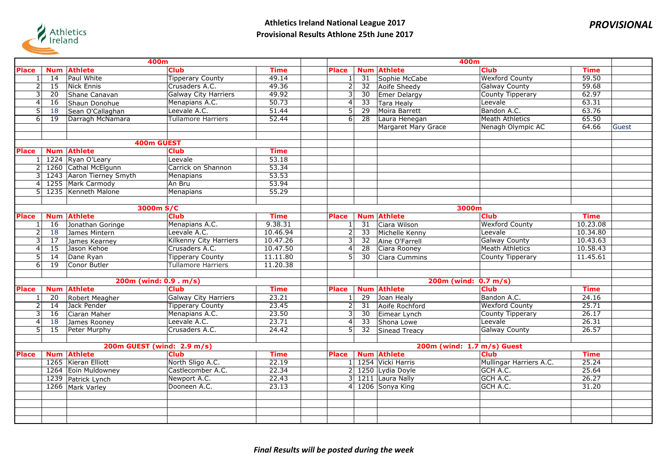

| 400m           |                 |                            |                               |             | 400m                      |                 |                            |                            |             |       |  |
|----------------|-----------------|----------------------------|-------------------------------|-------------|---------------------------|-----------------|----------------------------|----------------------------|-------------|-------|--|
| <b>Place</b>   | <b>Num</b>      | <b>Athlete</b>             | <b>Club</b>                   | <b>Time</b> | <b>Place</b>              | <b>Num</b>      | <b>Athlete</b>             | <b>Club</b>                | <b>Time</b> |       |  |
| $1\vert$       | $\overline{14}$ | Paul White                 | <b>Tipperary County</b>       | 49.14       | 1                         | 31              | Sophie McCabe              | <b>Wexford County</b>      | 59.50       |       |  |
| 2              | $\overline{15}$ | Nick Ennis                 | Crusaders A.C.                | 49.36       | 2                         | 32              | Aoife Sheedy               | <b>Galway County</b>       | 59.68       |       |  |
| $\overline{3}$ | $\overline{20}$ | Shane Canavan              | <b>Galway City Harriers</b>   | 49.92       | 3                         | 30              | Emer Delargy               | <b>County Tipperary</b>    | 62.97       |       |  |
| $\overline{4}$ | 16              | Shaun Donohue              | Menapians A.C.                | 50.73       | $\overline{4}$            | $\overline{33}$ | <b>Tara Healy</b>          | Leevale                    | 63.31       |       |  |
| 5              | 18              | Sean O'Callaghan           | Leevale A.C.                  | 51.44       | $\overline{5}$            | 29              | Moira Barrett              | Bandon A.C.                | 63.76       |       |  |
| $\overline{6}$ | 19              | Darragh McNamara           | <b>Tullamore Harriers</b>     | 52.44       | 6                         | 28              | Laura Henegan              | Meath Athletics            | 65.50       |       |  |
|                |                 |                            |                               |             |                           |                 | <b>Margaret Mary Grace</b> | Nenagh Olympic AC          | 64.66       | Guest |  |
|                |                 |                            |                               |             |                           |                 |                            |                            |             |       |  |
|                |                 | 400m GUEST                 |                               |             |                           |                 |                            |                            |             |       |  |
| <b>Place</b>   | <b>Num</b>      | <b>Athlete</b>             | <b>Club</b>                   | <b>Time</b> |                           |                 |                            |                            |             |       |  |
|                |                 | 1 1224 Ryan O'Leary        | Leevale                       | 53.18       |                           |                 |                            |                            |             |       |  |
|                |                 | 1260 Cathal McElgunn       | Carrick on Shannon            | 53.34       |                           |                 |                            |                            |             |       |  |
| 3              |                 | 1243 Aaron Tierney Smyth   | <b>Menapians</b>              | 53.53       |                           |                 |                            |                            |             |       |  |
| 4              |                 | 1255 Mark Carmody          | An Bru                        | 53.94       |                           |                 |                            |                            |             |       |  |
| 5 <sup>1</sup> |                 | 1235 Kenneth Malone        | Menapians                     | 55.29       |                           |                 |                            |                            |             |       |  |
|                |                 |                            |                               |             |                           |                 |                            |                            |             |       |  |
|                | 3000m S/C       |                            |                               |             |                           |                 |                            | 3000m                      |             |       |  |
| <b>Place</b>   | <b>Num</b>      | <b>Athlete</b>             | <b>Club</b>                   | <b>Time</b> | <b>Place</b>              | <b>Num</b>      | <b>Athlete</b>             | <b>Club</b>                | <b>Time</b> |       |  |
| 1 <sup>1</sup> | 16              | Jonathan Goringe           | Menapians A.C.                | 9.38.31     | 1                         | 31              | Ciara Wilson               | <b>Wexford County</b>      | 10.23.08    |       |  |
| $\overline{2}$ | 18              | James Mintern              | Leevale A.C.                  | 10.46.94    | $\overline{2}$            | 33              | Michelle Kenny             | Leevale                    | 10.34.80    |       |  |
| 3              | 17              | James Kearney              | <b>Kilkenny City Harriers</b> | 10.47.26    | 3                         | 32              | Aine O'Farrell             | <b>Galway County</b>       | 10.43.63    |       |  |
| $\overline{4}$ | $\overline{15}$ | Jason Kehoe                | Crusaders A.C.                | 10.47.50    | $\overline{4}$            | $\overline{28}$ | Ciara Rooney               | Meath Athletics            | 10.58.43    |       |  |
| 5              | 14              | Dane Ryan                  | <b>Tipperary County</b>       | 11.11.80    | 5                         | 30              | Ciara Cummins              | County Tipperary           | 11.45.61    |       |  |
| 6 <sup>1</sup> | 19              | Conor Butler               | <b>Tullamore Harriers</b>     | 11.20.38    |                           |                 |                            |                            |             |       |  |
|                |                 |                            |                               |             |                           |                 |                            |                            |             |       |  |
|                |                 | 200m (wind: 0.9 . m/s)     |                               |             | $200m$ (wind: $0.7 m/s$ ) |                 |                            |                            |             |       |  |
| Place          | <b>Num</b>      | <b>Athlete</b>             | <b>Club</b>                   | <b>Time</b> | <b>Place</b>              |                 | <b>Num Athlete</b>         | <b>Club</b>                | <b>Time</b> |       |  |
| 1              | 20              | Robert Meagher             | <b>Galway City Harriers</b>   | 23.21       | 1                         | 29              | Joan Healy                 | Bandon A.C.                | 24.16       |       |  |
| 2              | 14              | Jack Pender                | <b>Tipperary County</b>       | 23.45       | 2                         | 31              | Aoife Rochford             | <b>Wexford County</b>      | 25.71       |       |  |
| $\overline{3}$ | 16              | Ciaran Maher               | Menapians A.C.                | 23.50       | $\overline{3}$            | 30              | Eimear Lynch               | <b>County Tipperary</b>    | 26.17       |       |  |
| 4              | 18              | James Rooney               | Leevale A.C.                  | 23.71       | $\overline{4}$            | $\overline{33}$ | Shona Lowe                 | Leevale                    | 26.31       |       |  |
| 5 <sup>1</sup> | $\overline{15}$ | Peter Murphy               | Crusaders A.C.                | 24.42       | 5                         | 32              | Sinead Treacy              | <b>Galway County</b>       | 26.57       |       |  |
|                |                 |                            |                               |             |                           |                 |                            |                            |             |       |  |
|                |                 | 200m GUEST (wind: 2.9 m/s) |                               |             |                           |                 |                            | 200m (wind: 1.7 m/s) Guest |             |       |  |
| Place          |                 | <b>Num Athlete</b>         | <b>Club</b>                   | <b>Time</b> | <b>Place</b>              |                 | <b>Num Athlete</b>         | <b>Club</b>                | <b>Time</b> |       |  |
|                |                 | 1265 Kieran Elliott        | North Sligo A.C.              | 22.19       |                           |                 | 1 1254 Vicki Harris        | Mullingar Harriers A.C.    | 25.24       |       |  |
|                |                 | 1264 Eoin Muldowney        | Castlecomber A.C.             | 22.34       |                           |                 | 2 1250 Lydia Doyle         | GCH A.C.                   | 25.64       |       |  |
|                |                 | 1239 Patrick Lynch         | Newport A.C.                  | 22.43       |                           |                 | 3 1211 Laura Nally         | GCH A.C.                   | 26.27       |       |  |
|                |                 | 1266 Mark Varley           | Dooneen A.C.                  | 23.13       | 4 <sup>1</sup>            |                 | 1206 Sonya King            | GCH A.C.                   | 31.20       |       |  |
|                |                 |                            |                               |             |                           |                 |                            |                            |             |       |  |
|                |                 |                            |                               |             |                           |                 |                            |                            |             |       |  |
|                |                 |                            |                               |             |                           |                 |                            |                            |             |       |  |
|                |                 |                            |                               |             |                           |                 |                            |                            |             |       |  |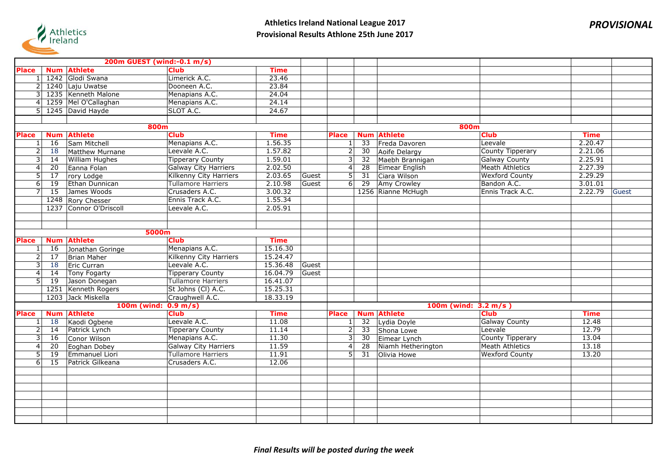

|              | 200m GUEST (wind:-0.1 m/s) |                                 |                               |             |                         |                         |                    |                        |             |       |  |
|--------------|----------------------------|---------------------------------|-------------------------------|-------------|-------------------------|-------------------------|--------------------|------------------------|-------------|-------|--|
| <b>Place</b> |                            | <b>Num Athlete</b>              | <b>Club</b>                   | <b>Time</b> |                         |                         |                    |                        |             |       |  |
|              |                            | 1242 Glodi Swana                | Limerick A.C.                 | 23.46       |                         |                         |                    |                        |             |       |  |
|              |                            | 1240 Laju Uwatse                | Dooneen A.C.                  | 23.84       |                         |                         |                    |                        |             |       |  |
|              |                            | 1235 Kenneth Malone             | Menapians A.C.                | 24.04       |                         |                         |                    |                        |             |       |  |
|              |                            | 1259 Mel O'Callaghan            | Menapians A.C.                | 24.14       |                         |                         |                    |                        |             |       |  |
|              |                            | 1245 David Hayde                | SLOT A.C.                     | 24.67       |                         |                         |                    |                        |             |       |  |
|              |                            |                                 |                               |             |                         |                         |                    |                        |             |       |  |
|              |                            | 800m                            |                               |             |                         |                         | 800m               |                        |             |       |  |
| <b>Place</b> |                            | <b>Num Athlete</b>              | <b>Club</b>                   | <b>Time</b> | <b>Place</b>            |                         | <b>Num Athlete</b> | <b>Club</b>            | <b>Time</b> |       |  |
|              | 16                         | Sam Mitchell                    | Menapians A.C.                | 1.56.35     | $\vert$ 1               | 33                      | Freda Davoren      | Leevale                | 2.20.47     |       |  |
| 2            | 18                         | Matthew Murnane                 | Leevale A.C.                  | 1.57.82     | $\overline{2}$          | 30                      | Aoife Delargy      | County Tipperary       | 2.21.06     |       |  |
| 3            | 14                         | <b>William Hughes</b>           | <b>Tipperary County</b>       | 1.59.01     | $\vert$ 3               | 32                      | Maebh Brannigan    | <b>Galway County</b>   | 2.25.91     |       |  |
|              | $\overline{20}$            | Eanna Folan                     | <b>Galway City Harriers</b>   | 2.02.50     | 4                       | $\overline{28}$         | Eimear English     | <b>Meath Athletics</b> | 2.27.39     |       |  |
| 5            | $\overline{17}$            | rory Lodge                      | <b>Kilkenny City Harriers</b> | 2.03.65     | $\overline{5}$<br>Guest | 31                      | Ciara Wilson       | <b>Wexford County</b>  | 2.29.29     |       |  |
| 6            | 19                         | Ethan Dunnican                  | <b>Tullamore Harriers</b>     | 2.10.98     | 6 <br>Guest             | 29                      | Amy Crowley        | Bandon A.C.            | 3.01.01     |       |  |
|              | 15                         | James Woods                     | Crusaders A.C.                | 3.00.32     |                         |                         | 1256 Rianne McHugh | Ennis Track A.C.       | 2.22.79     | Guest |  |
|              |                            | 1248 Rory Chesser               | Ennis Track A.C.              | 1.55.34     |                         |                         |                    |                        |             |       |  |
|              |                            | 1237 Connor O'Driscoll          | Leevale A.C.                  | 2.05.91     |                         |                         |                    |                        |             |       |  |
|              |                            |                                 |                               |             |                         |                         |                    |                        |             |       |  |
|              |                            |                                 |                               |             |                         |                         |                    |                        |             |       |  |
|              | 5000m                      |                                 |                               |             |                         |                         |                    |                        |             |       |  |
| <b>Place</b> | <b>Num</b>                 | <b>Athlete</b>                  | <b>Club</b>                   | <b>Time</b> |                         |                         |                    |                        |             |       |  |
|              | 16                         | Jonathan Goringe                | Menapians A.C.                | 15.16.30    |                         |                         |                    |                        |             |       |  |
|              | 17                         | Brian Maher                     | Kilkenny City Harriers        | 15.24.47    |                         |                         |                    |                        |             |       |  |
| 3            | 18                         | Eric Curran                     | Leevale A.C.                  | 15.36.48    | Guest                   |                         |                    |                        |             |       |  |
|              | 14                         | <b>Tony Fogarty</b>             | <b>Tipperary County</b>       | 16.04.79    | Guest                   |                         |                    |                        |             |       |  |
|              | $\overline{19}$            | Jason Donegan                   | <b>Tullamore Harriers</b>     | 16.41.07    |                         |                         |                    |                        |             |       |  |
|              |                            | 1251 Kenneth Rogers             | St Johns (CI) A.C.            | 15.25.31    |                         |                         |                    |                        |             |       |  |
|              |                            | 1203 Jack Miskella              | Craughwell A.C.               | 18.33.19    |                         |                         |                    |                        |             |       |  |
|              |                            | 100m (wind: $0.9 \text{ m/s}$ ) |                               |             |                         | 100m (wind: $3.2 m/s$ ) |                    |                        |             |       |  |
| Place        |                            | <b>Num Athlete</b>              | <b>Club</b>                   | <b>Time</b> | <b>Place</b>            |                         | <b>Num Athlete</b> | <b>Club</b>            | <b>Time</b> |       |  |
|              | 18                         | Kaodi Ogbene                    | Leevale A.C.                  | 11.08       | 1 <sup>1</sup>          | 32                      | Lydia Doyle        | <b>Galway County</b>   | 12.48       |       |  |
|              | 14                         | Patrick Lynch                   | <b>Tipperary County</b>       | 11.14       | $\overline{2}$          | 33                      | Shona Lowe         | Leevale                | 12.79       |       |  |
| 3            | 16                         | Conor Wilson                    | Menapians A.C.                | 11.30       | 3                       | 30                      | Eimear Lynch       | County Tipperary       | 13.04       |       |  |
|              | 20                         | Eoghan Dobey                    | <b>Galway City Harriers</b>   | 11.59       | $\vert 4 \vert$         | 28                      | Niamh Hetherington | <b>Meath Athletics</b> | 13.18       |       |  |
| 5            | 19                         | Emmanuel Liori                  | <b>Tullamore Harriers</b>     | 11.91       | 5                       | 31                      | Olivia Howe        | <b>Wexford County</b>  | 13.20       |       |  |
| 6            | 15                         | Patrick Gilkeana                | Crusaders A.C.                | 12.06       |                         |                         |                    |                        |             |       |  |
|              |                            |                                 |                               |             |                         |                         |                    |                        |             |       |  |
|              |                            |                                 |                               |             |                         |                         |                    |                        |             |       |  |
|              |                            |                                 |                               |             |                         |                         |                    |                        |             |       |  |
|              |                            |                                 |                               |             |                         |                         |                    |                        |             |       |  |
|              |                            |                                 |                               |             |                         |                         |                    |                        |             |       |  |
|              |                            |                                 |                               |             |                         |                         |                    |                        |             |       |  |
|              |                            |                                 |                               |             |                         |                         |                    |                        |             |       |  |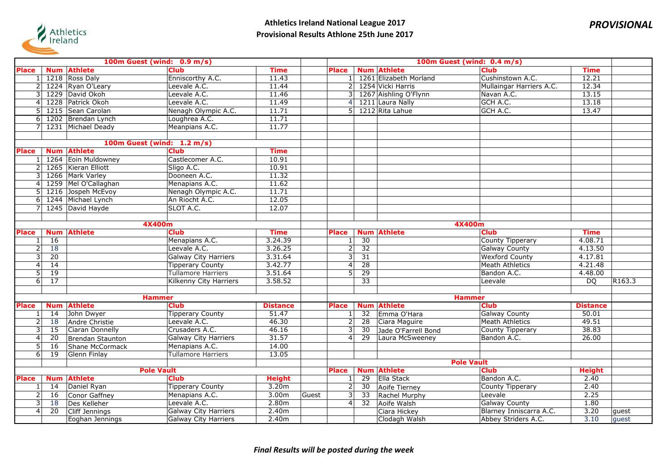

|                | 100m Guest (wind: 0.9 m/s) |                      |                               |                   |       | 100m Guest (wind: 0.4 m/s) |                 |                        |                          |                 |        |  |
|----------------|----------------------------|----------------------|-------------------------------|-------------------|-------|----------------------------|-----------------|------------------------|--------------------------|-----------------|--------|--|
| <b>Place</b>   |                            | <b>Num Athlete</b>   | <b>Club</b>                   | <b>Time</b>       |       | <b>Place</b>               |                 | <b>Num Athlete</b>     | <b>Club</b>              | <b>Time</b>     |        |  |
|                |                            | 1218 Ross Daly       | Enniscorthy A.C.              | 11.43             |       | 1                          |                 | 1261 Elizabeth Morland | Cushinstown A.C.         | 12.21           |        |  |
|                |                            | 1224 Ryan O'Leary    | Leevale A.C.                  | 11.44             |       | 2 <sup>1</sup>             |                 | 1254 Vicki Harris      | Mullaingar Harriers A.C. | 12.34           |        |  |
|                |                            | 1229 David Okoh      | Leevale A.C.                  | 11.46             |       | $\overline{3}$             |                 | 1267 Aishling O'Flynn  | Navan A.C.               | 13.15           |        |  |
| 4              |                            | 1228 Patrick Okoh    | Leevale A.C.                  | 11.49             |       | $\overline{4}$             |                 | 1211 Laura Nally       | GCH A.C.                 | 13.18           |        |  |
|                |                            | 1215 Sean Carolan    | Nenagh Olympic A.C.           | 11.71             |       | 5                          |                 | 1212 Rita Lahue        | GCH A.C.                 | 13.47           |        |  |
| 6              |                            | 1202 Brendan Lynch   | Loughrea A.C.                 | 11.71             |       |                            |                 |                        |                          |                 |        |  |
|                |                            | 1231 Michael Deady   | Meanpians A.C.                | 11.77             |       |                            |                 |                        |                          |                 |        |  |
|                |                            |                      |                               |                   |       |                            |                 |                        |                          |                 |        |  |
|                |                            |                      | 100m Guest (wind: 1.2 m/s)    |                   |       |                            |                 |                        |                          |                 |        |  |
| <b>Place</b>   |                            | <b>Num Athlete</b>   | <b>Club</b>                   | <b>Time</b>       |       |                            |                 |                        |                          |                 |        |  |
|                |                            | 1264 Eoin Muldowney  | Castlecomer A.C.              | 10.91             |       |                            |                 |                        |                          |                 |        |  |
|                |                            | 1265 Kieran Elliott  | Sligo A.C.                    | 10.91             |       |                            |                 |                        |                          |                 |        |  |
|                |                            | 1266 Mark Varley     | Dooneen A.C.                  | 11.32             |       |                            |                 |                        |                          |                 |        |  |
| 4              |                            | 1259 Mel O'Callaghan | Menapians A.C.                | 11.62             |       |                            |                 |                        |                          |                 |        |  |
|                |                            | 1216 Jospeh McEvoy   | Nenagh Olympic A.C.           | 11.71             |       |                            |                 |                        |                          |                 |        |  |
| 6              |                            | 1244 Michael Lynch   | An Riocht A.C.                | 12.05             |       |                            |                 |                        |                          |                 |        |  |
|                |                            | 1245 David Hayde     | SLOT A.C.                     | 12.07             |       |                            |                 |                        |                          |                 |        |  |
|                |                            |                      |                               |                   |       |                            |                 |                        |                          |                 |        |  |
|                | 4X400m                     |                      |                               |                   |       |                            |                 |                        | 4X400m                   |                 |        |  |
| <b>Place</b>   | <b>Num</b>                 | <b>Athlete</b>       | <b>Club</b>                   | <b>Time</b>       |       | <b>Place</b>               | <b>Num</b>      | <b>Athlete</b>         | <b>Club</b>              | <b>Time</b>     |        |  |
|                | 16                         |                      | Menapians A.C.                | 3.24.39           |       | 1                          | 30              |                        | <b>County Tipperary</b>  | 4.08.71         |        |  |
| 2              | 18                         |                      | Leevale A.C.                  | 3.26.25           |       | $\overline{2}$             | $\overline{32}$ |                        | <b>Galway County</b>     | 4.13.50         |        |  |
| 3              | $\overline{20}$            |                      | <b>Galway City Harriers</b>   | 3.31.64           |       | 3                          | 31              |                        | <b>Wexford County</b>    | 4.17.81         |        |  |
| 4              | 14                         |                      | <b>Tipperary County</b>       | 3.42.77           |       | $\overline{4}$             | 28              |                        | <b>Meath Athletics</b>   | 4.21.48         |        |  |
| 5              | 19                         |                      | <b>Tullamore Harriers</b>     | 3.51.64           |       | 5                          | $\overline{29}$ |                        | Bandon A.C.              | 4.48.00         |        |  |
| 6              | $\overline{17}$            |                      | <b>Kilkenny City Harriers</b> | 3.58.52           |       |                            | $\overline{33}$ |                        | Leevale                  | $\overline{DO}$ | R163.3 |  |
|                |                            |                      |                               |                   |       |                            |                 |                        |                          |                 |        |  |
|                |                            |                      | <b>Hammer</b>                 |                   |       | <b>Hammer</b>              |                 |                        |                          |                 |        |  |
| <b>Place</b>   |                            | <b>Num Athlete</b>   | <b>Club</b>                   | <b>Distance</b>   |       | <b>Place</b>               |                 | <b>Num Athlete</b>     | <b>Club</b>              | <b>Distance</b> |        |  |
|                | 14                         | John Dwyer           | <b>Tipperary County</b>       | 51.47             |       | $\mathbf{1}$               | 32              | Emma O'Hara            | <b>Galway County</b>     | 50.01           |        |  |
| 2              | 18                         | Andre Christie       | Leevale A.C.                  | 46.30             |       | <sub>N</sub>               | 28              | Ciara Maguire          | <b>Meath Athletics</b>   | 49.51           |        |  |
| 3              | 15                         | Ciaran Donnelly      | Crusaders A.C.                | 46.16             |       | 3                          | 30              | Jade O'Farrell Bond    | County Tipperary         | 38.83           |        |  |
| 4              | 20                         | Brendan Staunton     | <b>Galway City Harriers</b>   | 31.57             |       | $\overline{4}$             | 29              | Laura McSweeney        | Bandon A.C.              | 26.00           |        |  |
| 5              | 16                         | Shane McCormack      | Menapians A.C.                | 14.00             |       |                            |                 |                        |                          |                 |        |  |
| $\overline{6}$ | 19                         | Glenn Finlay         | <b>Tullamore Harriers</b>     | 13.05             |       |                            |                 |                        |                          |                 |        |  |
|                |                            |                      |                               |                   |       |                            |                 |                        | <b>Pole Vault</b>        |                 |        |  |
|                |                            |                      | <b>Pole Vault</b>             |                   |       | <b>Place</b>               | <b>Num</b>      | <b>Athlete</b>         | <b>Club</b>              | <b>Height</b>   |        |  |
| <b>Place</b>   | <b>Num</b>                 | <b>Athlete</b>       | <b>Club</b>                   | <b>Height</b>     |       | $1\vert$                   | -29             | <b>Ella Stack</b>      | Bandon A.C.              | 2.40            |        |  |
|                | 14                         | Daniel Ryan          | <b>Tipperary County</b>       | 3.20m             |       | $\overline{2}$             | 30              | Aoife Tierney          | <b>County Tipperary</b>  | 2.40            |        |  |
| $\overline{2}$ | 16                         | Conor Gaffney        | Menapians A.C.                | 3.00 <sub>m</sub> | Guest | $\overline{3}$             | $\overline{33}$ | Rachel Murphy          | Leevale                  | 2.25            |        |  |
| 3              | 18                         | Des Kelleher         | Leevale A.C.                  | 2.80m             |       | $\overline{4}$             | 32              | Aoife Walsh            | <b>Galway County</b>     | 1.80            |        |  |
| $\overline{4}$ | 20                         | Cliff Jennings       | <b>Galway City Harriers</b>   | 2.40m             |       |                            |                 | Ciara Hickey           | Blarney Inniscarra A.C.  | 3.20            | guest  |  |
|                |                            | Eoghan Jennings      | Galway City Harriers          | 2.40m             |       |                            |                 | Clodagh Walsh          | Abbey Striders A.C.      | 3.10            | quest  |  |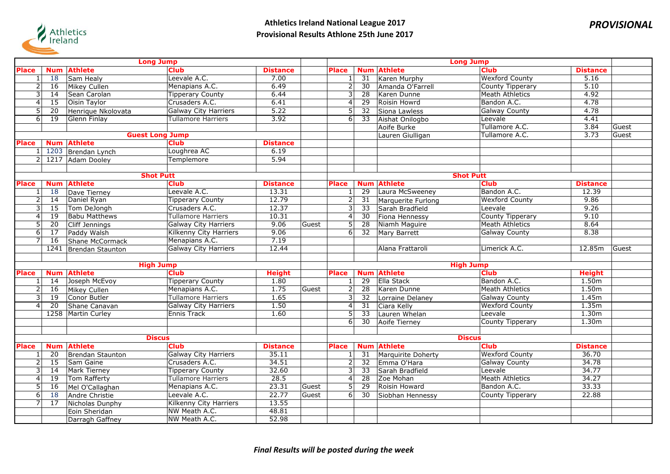

| <b>Long Jump</b> |                 |                      |                               |                 |       | <b>Long Jump</b>          |                       |                    |                            |                        |       |  |
|------------------|-----------------|----------------------|-------------------------------|-----------------|-------|---------------------------|-----------------------|--------------------|----------------------------|------------------------|-------|--|
| <b>Place</b>     | <b>Num</b>      | <b>Athlete</b>       | <b>Club</b>                   | <b>Distance</b> |       | <b>Place</b>              | <b>Num</b>            | <b>Athlete</b>     | <b>Club</b>                | <b>Distance</b>        |       |  |
|                  | 18              | Sam Healy            | Leevale A.C.                  | 7.00            |       | $\mathbf{1}$              | 31                    | Karen Murphy       | <b>Wexford County</b>      | 5.16                   |       |  |
| $\overline{a}$   | 16              | Mikey Cullen         | Menapians A.C.                | 6.49            |       | $\overline{2}$            | 30                    | Amanda O'Farrell   | County Tipperary           | 5.10                   |       |  |
| 3                | 14              | Sean Carolan         | <b>Tipperary County</b>       | 6.44            |       | 3                         | $\overline{28}$       | Karen Dunne        | <b>Meath Athletics</b>     | 4.92                   |       |  |
| 4                | $\overline{15}$ | <b>Oisin Taylor</b>  | Crusaders A.C.                | 6.41            |       | $\overline{4}$            | $\overline{29}$       | Roisin Howrd       | Bandon A.C.                | 4.78                   |       |  |
| 5                | 20              | Henrique Nkolovata   | <b>Galway City Harriers</b>   | 5.22            |       | 5                         | 32                    | Siona Lawless      | <b>Galway County</b>       | 4.78                   |       |  |
| $\overline{6}$   | 19              | Glenn Finlay         | <b>Tullamore Harriers</b>     | 3.92            |       | $6\overline{6}$           | 33                    | Aishat Onilogbo    | Leevale                    | 4.41                   |       |  |
|                  |                 |                      |                               |                 |       |                           |                       | Aoife Burke        | Tullamore A.C.             | 3.84                   | Guest |  |
|                  |                 |                      | <b>Guest Long Jump</b>        |                 |       |                           |                       | Lauren Giulligan   | Tullamore A.C.             | 3.73                   | Guest |  |
| <b>Place</b>     | <b>Num</b>      | <b>Athlete</b>       | <b>Club</b>                   | <b>Distance</b> |       |                           |                       |                    |                            |                        |       |  |
|                  |                 | 1203 Brendan Lynch   | Loughrea AC                   | 6.19            |       |                           |                       |                    |                            |                        |       |  |
| $\overline{2}$   | 1217            | Adam Dooley          | Templemore                    | 5.94            |       |                           |                       |                    |                            |                        |       |  |
|                  |                 |                      |                               |                 |       |                           |                       |                    |                            |                        |       |  |
|                  |                 |                      | <b>Shot Putt</b>              |                 |       |                           |                       |                    | <b>Shot Putt</b>           |                        |       |  |
| <b>Place</b>     | <b>Num</b>      | <b>Athlete</b>       | <b>Club</b>                   | <b>Distance</b> |       | <b>Place</b>              | <b>Num</b>            | <b>Athlete</b>     | <b>Club</b>                | <b>Distance</b>        |       |  |
|                  | 18              | Dave Tierney         | Leevale A.C.                  | 13.31           |       | 1                         | 29                    | Laura McSweeney    | Bandon A.C.                | 12.39                  |       |  |
| 2                | 14              | Daniel Ryan          | <b>Tipperary County</b>       | 12.79           |       | $\overline{2}$            | 31                    | Marquerite Furlong | <b>Wexford County</b>      | 9.86                   |       |  |
| 3                | $\overline{15}$ | Tom DeJongh          | Crusaders A.C.                | 12.37           |       | $\overline{3}$            | $\overline{33}$       | Sarah Bradfield    | Leevale                    | 9.26                   |       |  |
| 4                | $\overline{19}$ | <b>Babu Matthews</b> | <b>Tullamore Harriers</b>     | 10.31           |       | $\overline{4}$            | 30                    | Fiona Hennessy     | <b>County Tipperary</b>    | 9.10                   |       |  |
| 5                | 20              | Cliff Jennings       | <b>Galway City Harriers</b>   | 9.06            | Guest | 5                         | 28                    | Niamh Maguire      | <b>Meath Athletics</b>     | 8.64                   |       |  |
| 6                | 17              | Paddy Walsh          | <b>Kilkenny City Harriers</b> | 9.06            |       | $6\overline{6}$           | 32                    | Mary Barrett       | <b>Galway County</b>       | 8.38                   |       |  |
|                  | 16              | Shane McCormack      | Menapians A.C.                | 7.19            |       |                           |                       |                    |                            |                        |       |  |
|                  | 1241            | Brendan Staunton     | <b>Galway City Harriers</b>   | 12.44           |       |                           |                       | Alana Frattaroli   | Limerick A.C.              | 12.85m                 | Guest |  |
|                  |                 |                      |                               |                 |       |                           |                       |                    |                            |                        |       |  |
|                  |                 |                      | <b>High Jump</b>              |                 |       | <b>High Jump</b>          |                       |                    |                            |                        |       |  |
| <b>Place</b>     | <b>Num</b>      | <b>Athlete</b>       | <b>Club</b>                   | <b>Height</b>   |       | <b>Place</b>              | <b>Num</b>            | <b>Athlete</b>     | <b>Club</b><br>Bandon A.C. | <b>Height</b><br>1.50m |       |  |
|                  | 14              | Joseph McEvoy        | <b>Tipperary County</b>       | 1.80            |       | 1                         | $\overline{29}$       | Ella Stack         |                            |                        |       |  |
|                  | 16              | Mikey Cullen         | Menapians A.C.                | 1.75            | Guest | $\overline{2}$            | $\overline{28}$       | Karen Dunne        | Meath Athletics            | 1.50m                  |       |  |
| 3<br>4           | 19              | Conor Butler         | <b>Tullamore Harriers</b>     | 1.65            |       | 3                         | 32                    | Lorraine Delaney   | <b>Galway County</b>       | 1.45m                  |       |  |
|                  | 20              | Shane Canavan        | <b>Galway City Harriers</b>   | 1.50<br>1.60    |       | $\overline{4}$            | 31<br>$\overline{33}$ | Ciara Kelly        | <b>Wexford County</b>      | 1.35m<br>1.30m         |       |  |
|                  |                 | 1258 Martin Curley   | Ennis Track                   |                 |       | 5                         | $\overline{30}$       | Lauren Whelan      | Leevale                    | 1.30m                  |       |  |
|                  |                 |                      |                               |                 |       | $6 \mid$                  |                       | Aoife Tierney      | <b>County Tipperary</b>    |                        |       |  |
|                  |                 |                      | <b>Discus</b>                 |                 |       |                           |                       |                    | <b>Discus</b>              |                        |       |  |
| <b>Place</b>     | <b>Num</b>      | <b>Athlete</b>       | <b>Club</b>                   | <b>Distance</b> |       | <b>Place</b>              | <b>Num</b>            | <b>Athlete</b>     | <b>Club</b>                | <b>Distance</b>        |       |  |
|                  | $\overline{20}$ | Brendan Staunton     | <b>Galway City Harriers</b>   | 35.11           |       | $\mathbf{1}$              | $\overline{31}$       | Marquirite Doherty | <b>Wexford County</b>      | 36.70                  |       |  |
| 2                | 15              | Sam Gaine            | Crusaders A.C.                | 34.51           |       | $\overline{2}$            | 32                    | Emma O'Hara        | <b>Galway County</b>       | 34.78                  |       |  |
| 3                | $\overline{14}$ | Mark Tierney         | <b>Tipperary County</b>       | 32.60           |       | $\overline{\overline{3}}$ | $\overline{33}$       | Sarah Bradfield    | Leevale                    | 34.77                  |       |  |
| 4                | 19              | Tom Rafferty         | <b>Tullamore Harriers</b>     | 28.5            |       | $\overline{4}$            | 28                    | Zoe Mohan          | <b>Meath Athletics</b>     | 34.27                  |       |  |
| 5                | 16              | Mel O'Callaghan      | Menapians A.C.                | 23.31           | Guest | 5                         | 29                    | Roisin Howard      | Bandon A.C.                | 33.33                  |       |  |
| 6                | 18              | Andre Christie       | Leevale A.C.                  | 22.77           | Guest | $\overline{6}$            | 30                    | Siobhan Hennessy   | County Tipperary           | 22.88                  |       |  |
| 7                | 17              | Nicholas Dunphy      | <b>Kilkenny City Harriers</b> | 13.55           |       |                           |                       |                    |                            |                        |       |  |
|                  |                 | Eoin Sheridan        | NW Meath A.C.                 | 48.81           |       |                           |                       |                    |                            |                        |       |  |
|                  |                 | Darragh Gaffney      | NW Meath A.C.                 | 52.98           |       |                           |                       |                    |                            |                        |       |  |
|                  |                 |                      |                               |                 |       |                           |                       |                    |                            |                        |       |  |